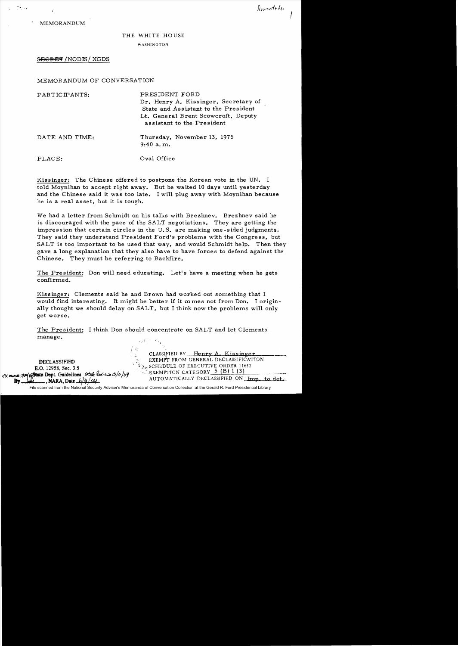I

MEMORANDUM

## THE WHITE HOUSE

## WASHINGTON

## SEGRET / NODIS / XGDS

## MEMORANDUM OF CONVERSATION

| PARTICIPANTS:  | PRESIDENT FORD<br>Dr. Henry A. Kissinger, Secretary of<br>State and Assistant to the President<br>Lt. General Brent Scowcroft, Deputy<br>assistant to the President |
|----------------|---------------------------------------------------------------------------------------------------------------------------------------------------------------------|
| DATE AND TIME: | Thursday, November 13, 1975<br>$9:40$ a.m.                                                                                                                          |
| PLACE:         | Oval Office                                                                                                                                                         |

Kissinger: The Chinese offered to postpone the Korean vote in the UN. I told Moynihan to accept right away. But he waited 10 days until yesterday and the Chinese said it was too late. I will plug away with Moynihan because he is a real asset, but it is tough.

We had a letter from Schmidt on his talks with Brezhnev. Brezhnev said he is discouraged with the pace of the SALT negotiations. They are getting the impression that certain circles in the U. S. are making one-sided judgments. They said they understand President Ford's problems with the Congress, but SALT is too important to be used that way, and would Schmidt help. Then they gave a long explanation that they also have to have forces to defend against the Chinese. They must be referring to Backfire.

The President: Don will need educating. Let's have a meeting when he gets confirmed.

Kissinger: Clements said he and Brown had worked out something that I would find interesting. It might be better if it  $\infty$  mes not from Don. I originally thought we should delay on SALT, but I think now the problems will only get worse.

The President: I think Don should concentrate on SALT and let Clements manage.

CLASSIFIED BY Henry A. Kissinger DECLASSIFIED EXEMPT FROM GENERAL DECLASSIFICATION **E.O.** 12958, Sec. 3.5 **E.O.** 12958, Sec. 3.5 10 /10 /10 /100 CATEGORY 5 (B) 1 (3)<br>By the set of the Cuidelines *9th luin automatically DECLASSIFIED* ON Imp. to det.

File scanned from the National Security Adviser's Memoranda of Conversation Collection at the Gerald R. Ford Presidential Library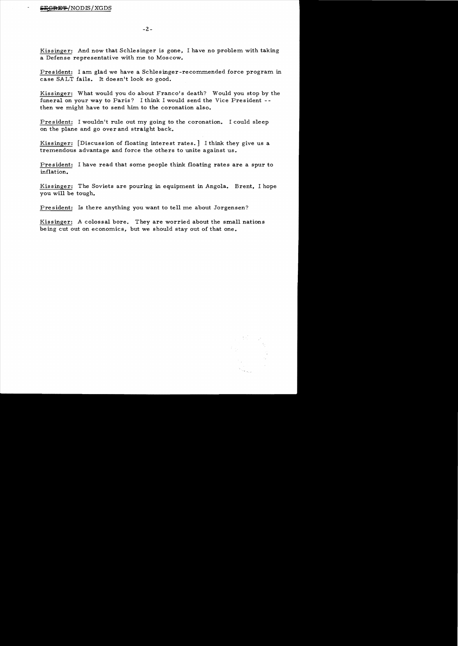Kissinger: And now that Schlesinger is gone, I have no problem with taking a Defense representative with me to Moscow.

President: I am glad we have a Schlesinger-recommended force program in case SALT fails. It doesn't look so good.

Kissinger: What would you do about Franco's death? Would you stop by the funeral on your way to Paris? I think I would send the Vice President then we might have to send him to the coronation also.

President: I wouldn't rule out my going to the coronation. I could sleep on the plane and go over and straight back.

Kissinger: [Discussion of floating interest rates.] I think they give us a tremendous advantage and force the others to unite against us.

President: I have read that some people think floating rates are a spur to inflation.

Kissinger: The Soviets are pouring in equipment in Angola. Brent, I hope you will be tough.

President: Is there anything you want to tell me about Jorgensen?

Kissinger: A colossal bore. They are worried about the small nations being cut out on economics, but we should stay out of that one.

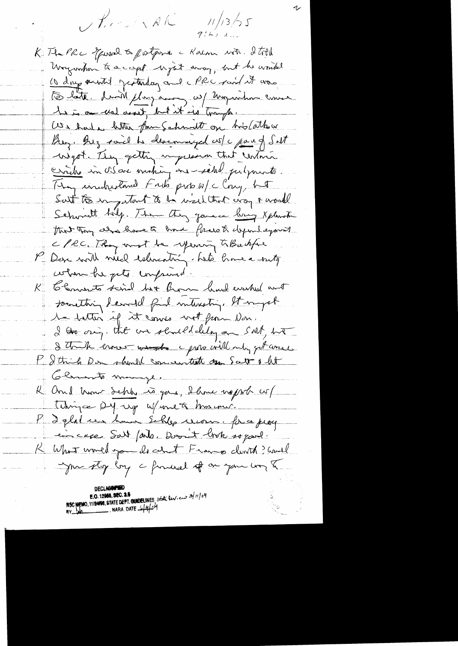$\frac{11}{13}\frac{1}{2}\frac{1}{5}$ Pirried NAK

K The PRC Towned to postpone a Kalm with 2 total Waywhow to a capt upot away, but he would Lo day autil protesting and MRC raid it was Dette divid plugaring w/ miguntum come 1 is an wal assit, but it is trangle. We had a letter from Schmolt on his Cather Buy. Buz said he deservered w/c part of Salt wigot . They getting impression that centries circle in Osare motion en -site putpourts. They inductaned Faits proto w/c Cony, het Surt to ingestant to be well that every & world Schwitt hily. The they gave a bong spheriti that Tany also have to have freesth dependayment c/ec. They must be yearing to Backfue Den with nied estimating hats home a suitg when he gets imprimed. to Convents said but Burn had worked and societting devoted find interesting, It ingot te hatter of it cours wit from Non. I to ony. that we should delay on SAM, ho I think erones worst i proto will only get week P I think Don should concentrate ago Satt & lit Cleans to manye. R and them sche to goe, there nopol w/ Tekingce Dy up W/ une of his me. l'Iglat un homme Schlep unon. fince prog incree Suit / and. Doon't link so good. K What would go do det France dont ? Could me stop by a forward of one you was a

NSC MEMO, 11/24/98, STATE DEPT. CHUDELINES State lev.  $\cos 3/11/64$ <br>BY tale \_\_\_\_\_\_\_\_\_\_\_\_. NARA. DATE  $\frac{1}{4}H_1^1C^M_1$